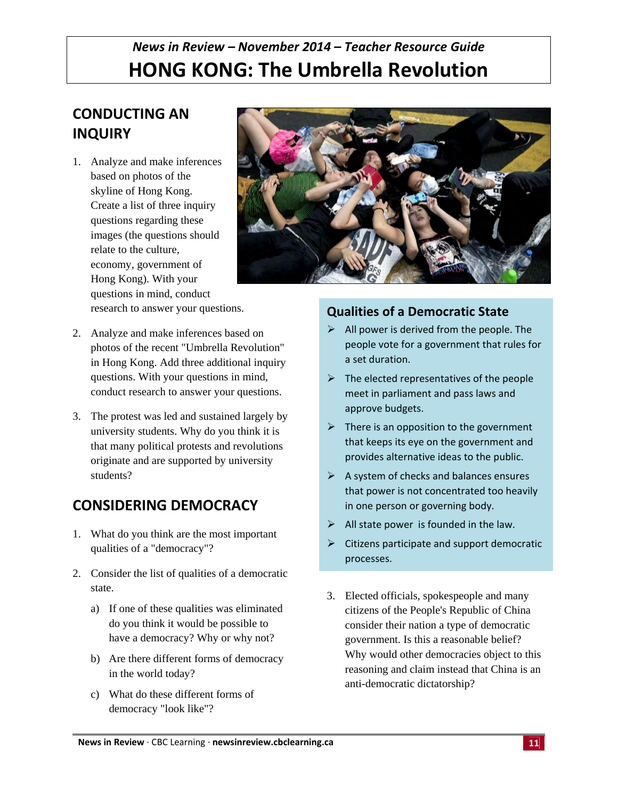# *News in Review – November 2014 – Teacher Resource Guide* **HONG KONG: The Umbrella Revolution**

# **CONDUCTING AN INQUIRY**

1. Analyze and make inferences based on photos of the skyline of Hong Kong. Create a list of three inquiry questions regarding these images (the questions should relate to the culture, economy, government of Hong Kong). With your questions in mind, conduct research to answer your questions.



- 2. Analyze and make inferences based on photos of the recent "Umbrella Revolution" in Hong Kong. Add three additional inquiry questions. With your questions in mind, conduct research to answer your questions.
- 3. The protest was led and sustained largely by university students. Why do you think it is that many political protests and revolutions originate and are supported by university students?

# **CONSIDERING DEMOCRACY**

- 1. What do you think are the most important qualities of a "democracy"?
- 2. Consider the list of qualities of a democratic state.
	- a) If one of these qualities was eliminated do you think it would be possible to have a democracy? Why or why not?
	- b) Are there different forms of democracy in the world today?
	- c) What do these different forms of democracy "look like"?

## **Qualities of a Democratic State**

- $\triangleright$  All power is derived from the people. The people vote for a government that rules for a set duration.
- $\triangleright$  The elected representatives of the people meet in parliament and pass laws and approve budgets.
- $\triangleright$  There is an opposition to the government that keeps its eye on the government and provides alternative ideas to the public.
- $\triangleright$  A system of checks and balances ensures that power is not concentrated too heavily in one person or governing body.
- $\triangleright$  All state power is founded in the law.
- $\triangleright$  Citizens participate and support democratic processes.
- 3. Elected officials, spokespeople and many citizens of the People's Republic of China consider their nation a type of democratic government. Is this a reasonable belief? Why would other democracies object to this reasoning and claim instead that China is an anti-democratic dictatorship?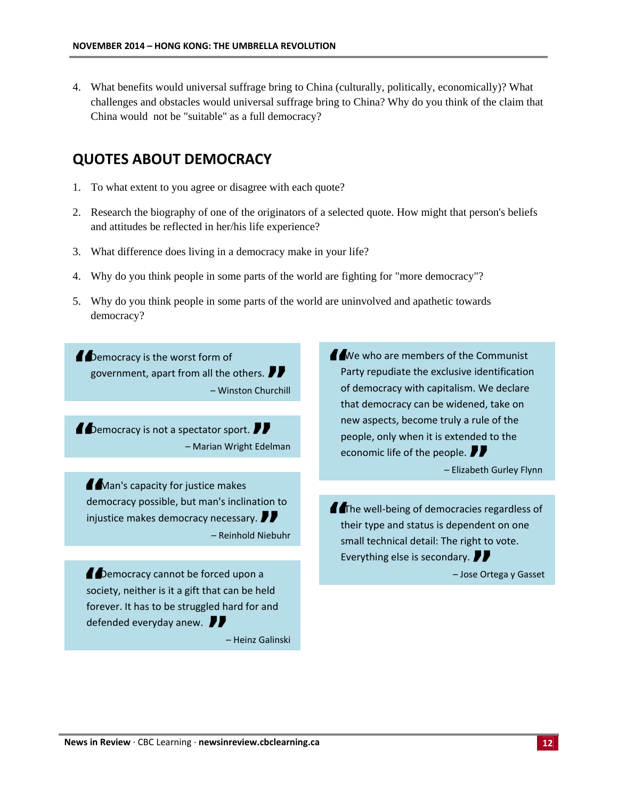4. What benefits would universal suffrage bring to China (culturally, politically, economically)? What challenges and obstacles would universal suffrage bring to China? Why do you think of the claim that China would not be "suitable" as a full democracy?

### **QUOTES ABOUT DEMOCRACY**

- 1. To what extent to you agree or disagree with each quote?
- 2. Research the biography of one of the originators of a selected quote. How might that person's beliefs and attitudes be reflected in her/his life experience?
- 3. What difference does living in a democracy make in your life?
- 4. Why do you think people in some parts of the world are fighting for "more democracy"?
- 5. Why do you think people in some parts of the world are uninvolved and apathetic towards democracy?

**"**Democracy is the worst form of government, apart from all the others. l the others. **//**<br>– Winston Churchill

**11** Democracy is not a spectator sport. **77**<br>Marian Wright Ede – Marian Wright Edelman

**11** Man's capacity for justice makes democracy possible, but man's inclination to **Injustice makes democracy necessary.**<br>Reinhold Nieb – – Reinhold Niebuhr

**//** Democracy cannot be forced upon a society, neither is it a gift that can be held forever. It has to be struggled hard for and defended everyday anew.**"** – Heinz Galinski

I We who are members of the Communist<br>Party repudiate the exclusive identification of democracy with capitalism. We declare that democracy can be widened, take on new aspects, become truly a rule of the people, only when it is extended to the economic life of the people.  $\blacksquare$ ople. *¶*<br>− Elizabeth Gurley Flynn

**"**The well‐being of democracies regardless of their type and status is dependent on one small technical detail: The right to vote. **Everything else is secondary. //**<br>Dose O

– Jose Ortega y Gasset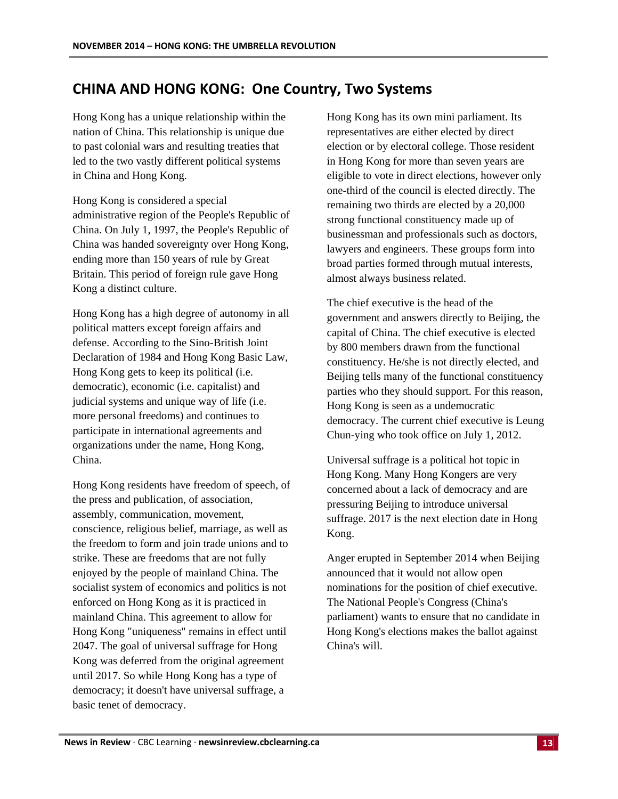# **CHINA AND HONG KONG: One Country, Two Systems**

Hong Kong has a unique relationship within the nation of China. This relationship is unique due to past colonial wars and resulting treaties that led to the two vastly different political systems in China and Hong Kong.

Hong Kong is considered a special administrative region of the People's Republic of China. On July 1, 1997, the People's Republic of China was handed sovereignty over Hong Kong, ending more than 150 years of rule by Great Britain. This period of foreign rule gave Hong Kong a distinct culture.

Hong Kong has a high degree of autonomy in all political matters except foreign affairs and defense. According to the Sino-British Joint Declaration of 1984 and Hong Kong Basic Law, Hong Kong gets to keep its political (i.e. democratic), economic (i.e. capitalist) and judicial systems and unique way of life (i.e. more personal freedoms) and continues to participate in international agreements and organizations under the name, Hong Kong, China.

Hong Kong residents have freedom of speech, of the press and publication, of association, assembly, communication, movement, conscience, religious belief, marriage, as well as the freedom to form and join trade unions and to strike. These are freedoms that are not fully enjoyed by the people of mainland China. The socialist system of economics and politics is not enforced on Hong Kong as it is practiced in mainland China. This agreement to allow for Hong Kong "uniqueness" remains in effect until 2047. The goal of universal suffrage for Hong Kong was deferred from the original agreement until 2017. So while Hong Kong has a type of democracy; it doesn't have universal suffrage, a basic tenet of democracy.

Hong Kong has its own mini parliament. Its representatives are either elected by direct election or by electoral college. Those resident in Hong Kong for more than seven years are eligible to vote in direct elections, however only one-third of the council is elected directly. The remaining two thirds are elected by a 20,000 strong functional constituency made up of businessman and professionals such as doctors, lawyers and engineers. These groups form into broad parties formed through mutual interests, almost always business related.

The chief executive is the head of the government and answers directly to Beijing, the capital of China. The chief executive is elected by 800 members drawn from the functional constituency. He/she is not directly elected, and Beijing tells many of the functional constituency parties who they should support. For this reason, Hong Kong is seen as a undemocratic democracy. The current chief executive is Leung Chun-ying who took office on July 1, 2012.

Universal suffrage is a political hot topic in Hong Kong. Many Hong Kongers are very concerned about a lack of democracy and are pressuring Beijing to introduce universal suffrage. 2017 is the next election date in Hong Kong.

Anger erupted in September 2014 when Beijing announced that it would not allow open nominations for the position of chief executive. The National People's Congress (China's parliament) wants to ensure that no candidate in Hong Kong's elections makes the ballot against China's will.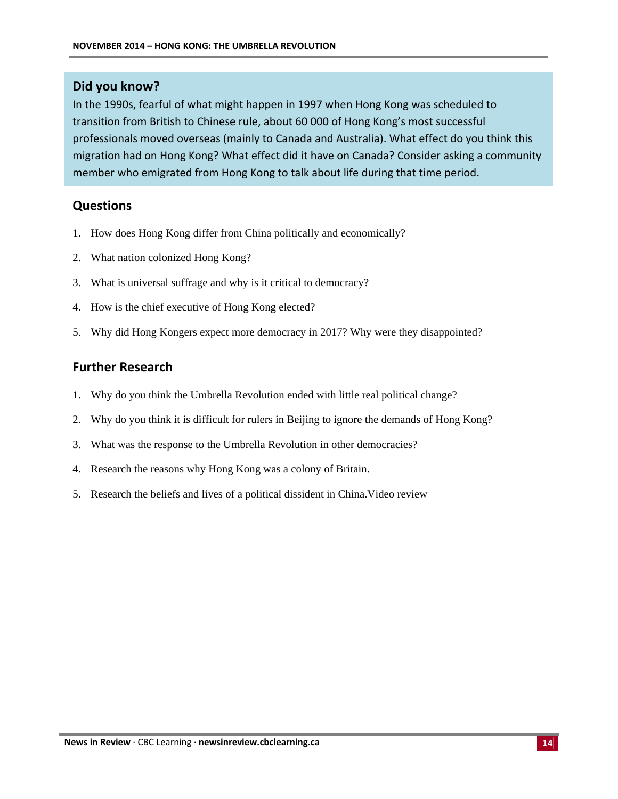#### **Did you know?**

In the 1990s, fearful of what might happen in 1997 when Hong Kong was scheduled to transition from British to Chinese rule, about 60 000 of Hong Kong's most successful professionals moved overseas (mainly to Canada and Australia). What effect do you think this migration had on Hong Kong? What effect did it have on Canada? Consider asking a community member who emigrated from Hong Kong to talk about life during that time period.

#### **Questions**

- 1. How does Hong Kong differ from China politically and economically?
- 2. What nation colonized Hong Kong?
- 3. What is universal suffrage and why is it critical to democracy?
- 4. How is the chief executive of Hong Kong elected?
- 5. Why did Hong Kongers expect more democracy in 2017? Why were they disappointed?

#### **Further Research**

- 1. Why do you think the Umbrella Revolution ended with little real political change?
- 2. Why do you think it is difficult for rulers in Beijing to ignore the demands of Hong Kong?
- 3. What was the response to the Umbrella Revolution in other democracies?
- 4. Research the reasons why Hong Kong was a colony of Britain.
- 5. Research the beliefs and lives of a political dissident in China.Video review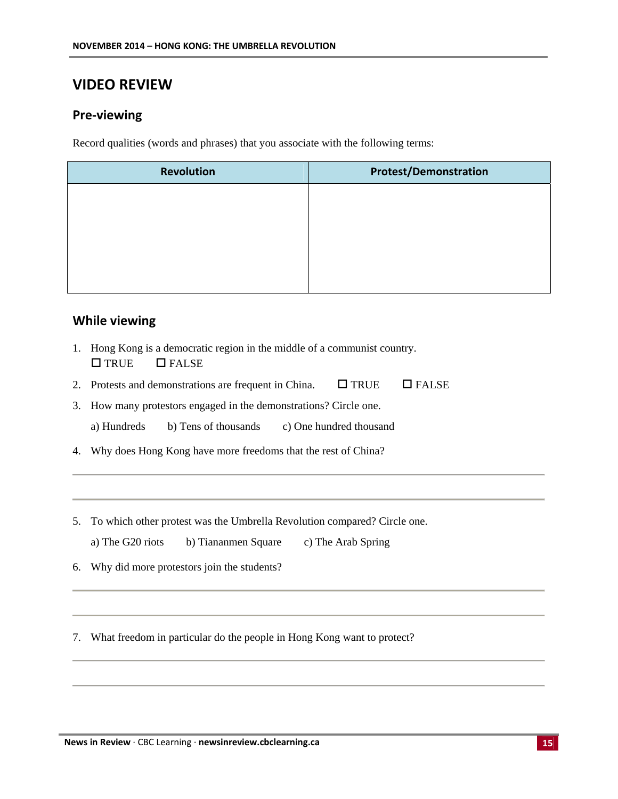# **VIDEO REVIEW**

#### **Pre‐viewing**

Record qualities (words and phrases) that you associate with the following terms:

| <b>Revolution</b> | <b>Protest/Demonstration</b> |
|-------------------|------------------------------|
|                   |                              |
|                   |                              |
|                   |                              |
|                   |                              |
|                   |                              |

#### **While viewing**

- 1. Hong Kong is a democratic region in the middle of a communist country.  $\Box$  TRUE  $\Box$  FALSE
- 2. Protests and demonstrations are frequent in China.  $\Box$  TRUE  $\Box$  FALSE
- 3. How many protestors engaged in the demonstrations? Circle one. a) Hundreds b) Tens of thousands c) One hundred thousand
- 4. Why does Hong Kong have more freedoms that the rest of China?
- 5. To which other protest was the Umbrella Revolution compared? Circle one.
	- a) The G20 riots b) Tiananmen Square c) The Arab Spring
- 6. Why did more protestors join the students?

7. What freedom in particular do the people in Hong Kong want to protect?